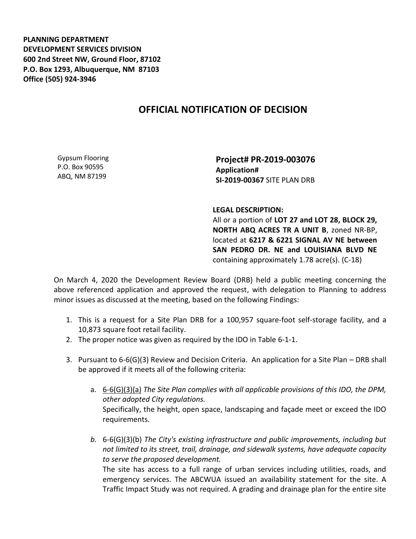**PLANNING DEPARTMENT DEVELOPMENT SERVICES DIVISION 600 2nd Street NW, Ground Floor, 87102 P.O. Box 1293, Albuquerque, NM 87103 Office (505) 924-3946** 

## **OFFICIAL NOTIFICATION OF DECISION**

Gypsum Flooring P.O. Box 90595 ABQ, NM 87199

**Project# PR-2019-003076 Application# SI-2019-00367** SITE PLAN DRB

**LEGAL DESCRIPTION:**

All or a portion of **LOT 27 and LOT 28, BLOCK 29, NORTH ABQ ACRES TR A UNIT B**, zoned NR-BP, located at **6217 & 6221 SIGNAL AV NE between SAN PEDRO DR. NE and LOUISIANA BLVD NE** containing approximately 1.78 acre(s). (C-18)

On March 4, 2020 the Development Review Board (DRB) held a public meeting concerning the above referenced application and approved the request, with delegation to Planning to address minor issues as discussed at the meeting, based on the following Findings:

- 1. This is a request for a Site Plan DRB for a 100,957 square-foot self-storage facility, and a 10,873 square foot retail facility.
- 2. The proper notice was given as required by the IDO in Table 6-1-1.
- 3. Pursuant to 6-6(G)(3) Review and Decision Criteria. An application for a Site Plan DRB shall be approved if it meets all of the following criteria:
	- a. 6-6(G)(3)(a) *The Site Plan complies with all applicable provisions of this IDO, the DPM, other adopted City regulations.* Specifically, the height, open space, landscaping and façade meet or exceed the IDO requirements.
	- *b.* 6-6(G)(3)(b) *The City's existing infrastructure and public improvements, including but not limited to its street, trail, drainage, and sidewalk systems, have adequate capacity to serve the proposed development.*

The site has access to a full range of urban services including utilities, roads, and emergency services. The ABCWUA issued an availability statement for the site. A Traffic Impact Study was not required. A grading and drainage plan for the entire site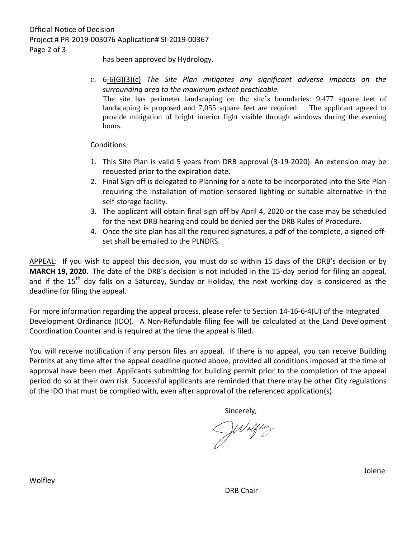has been approved by Hydrology.

c. 6-6(G)(3)(c) *The Site Plan mitigates any significant adverse impacts on the surrounding area to the maximum extent practicable.* The site has perimeter landscaping on the site's boundaries: 9,477 square feet of landscaping is proposed and 7,055 square feet are required. The applicant agreed to provide mitigation of bright interior light visible through windows during the evening hours.

Conditions:

- 1. This Site Plan is valid 5 years from DRB approval (3-19-2020). An extension may be requested prior to the expiration date.
- 2. Final Sign off is delegated to Planning for a note to be incorporated into the Site Plan requiring the installation of motion-sensored lighting or suitable alternative in the self-storage facility.
- 3. The applicant will obtain final sign off by April 4, 2020 or the case may be scheduled for the next DRB hearing and could be denied per the DRB Rules of Procedure.
- 4. Once the site plan has all the required signatures, a pdf of the complete, a signed-offset shall be emailed to the PLNDRS.

APPEAL: If you wish to appeal this decision, you must do so within 15 days of the DRB's decision or by **MARCH 19, 2020.** The date of the DRB's decision is not included in the 15-day period for filing an appeal, and if the 15<sup>th</sup> day falls on a Saturday, Sunday or Holiday, the next working day is considered as the deadline for filing the appeal.

For more information regarding the appeal process, please refer to Section 14-16-6-4(U) of the Integrated Development Ordinance (IDO). A Non-Refundable filing fee will be calculated at the Land Development Coordination Counter and is required at the time the appeal is filed.

You will receive notification if any person files an appeal. If there is no appeal, you can receive Building Permits at any time after the appeal deadline quoted above, provided all conditions imposed at the time of approval have been met. Applicants submitting for building permit prior to the completion of the appeal period do so at their own risk. Successful applicants are reminded that there may be other City regulations of the IDO that must be complied with, even after approval of the referenced application(s).

Waltery

DRB Chair

Wolfley